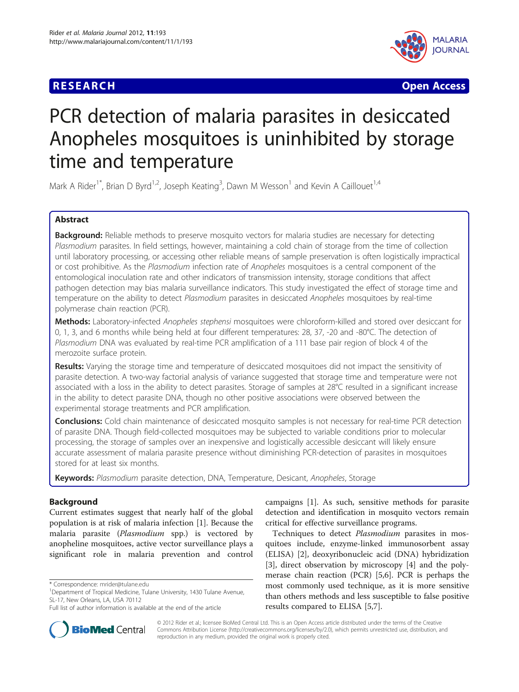## **RESEARCH CHE CHE Open Access**



# PCR detection of malaria parasites in desiccated Anopheles mosquitoes is uninhibited by storage time and temperature

Mark A Rider<sup>1\*</sup>, Brian D Byrd<sup>1,2</sup>, Joseph Keating<sup>3</sup>, Dawn M Wesson<sup>1</sup> and Kevin A Caillouet<sup>1,4</sup>

## Abstract

Background: Reliable methods to preserve mosquito vectors for malaria studies are necessary for detecting Plasmodium parasites. In field settings, however, maintaining a cold chain of storage from the time of collection until laboratory processing, or accessing other reliable means of sample preservation is often logistically impractical or cost prohibitive. As the Plasmodium infection rate of Anopheles mosquitoes is a central component of the entomological inoculation rate and other indicators of transmission intensity, storage conditions that affect pathogen detection may bias malaria surveillance indicators. This study investigated the effect of storage time and temperature on the ability to detect Plasmodium parasites in desiccated Anopheles mosquitoes by real-time polymerase chain reaction (PCR).

Methods: Laboratory-infected Anopheles stephensi mosquitoes were chloroform-killed and stored over desiccant for 0, 1, 3, and 6 months while being held at four different temperatures: 28, 37, -20 and -80°C. The detection of Plasmodium DNA was evaluated by real-time PCR amplification of a 111 base pair region of block 4 of the merozoite surface protein.

Results: Varying the storage time and temperature of desiccated mosquitoes did not impact the sensitivity of parasite detection. A two-way factorial analysis of variance suggested that storage time and temperature were not associated with a loss in the ability to detect parasites. Storage of samples at 28°C resulted in a significant increase in the ability to detect parasite DNA, though no other positive associations were observed between the experimental storage treatments and PCR amplification.

Conclusions: Cold chain maintenance of desiccated mosquito samples is not necessary for real-time PCR detection of parasite DNA. Though field-collected mosquitoes may be subjected to variable conditions prior to molecular processing, the storage of samples over an inexpensive and logistically accessible desiccant will likely ensure accurate assessment of malaria parasite presence without diminishing PCR-detection of parasites in mosquitoes stored for at least six months.

Keywords: Plasmodium parasite detection, DNA, Temperature, Desicant, Anopheles, Storage

## Background

Current estimates suggest that nearly half of the global population is at risk of malaria infection [[1\]](#page-4-0). Because the malaria parasite (Plasmodium spp.) is vectored by anopheline mosquitoes, active vector surveillance plays a significant role in malaria prevention and control campaigns [[1\]](#page-4-0). As such, sensitive methods for parasite detection and identification in mosquito vectors remain critical for effective surveillance programs.

Techniques to detect Plasmodium parasites in mosquitoes include, enzyme-linked immunosorbent assay (ELISA) [[2](#page-4-0)], deoxyribonucleic acid (DNA) hybridization [[3\]](#page-4-0), direct observation by microscopy [\[4](#page-4-0)] and the polymerase chain reaction (PCR) [\[5,6](#page-4-0)]. PCR is perhaps the most commonly used technique, as it is more sensitive than others methods and less susceptible to false positive results compared to ELISA [[5,7\]](#page-4-0).



© 2012 Rider et al.; licensee BioMed Central Ltd. This is an Open Access article distributed under the terms of the Creative Commons Attribution License [\(http://creativecommons.org/licenses/by/2.0\)](http://creativecommons.org/licenses/by/2.0), which permits unrestricted use, distribution, and reproduction in any medium, provided the original work is properly cited.

<sup>\*</sup> Correspondence: [mrider@tulane.edu](mailto:mrider@tulane.edu) <sup>1</sup>

<sup>&</sup>lt;sup>1</sup>Department of Tropical Medicine, Tulane University, 1430 Tulane Avenue, SL-17, New Orleans, LA, USA 70112

Full list of author information is available at the end of the article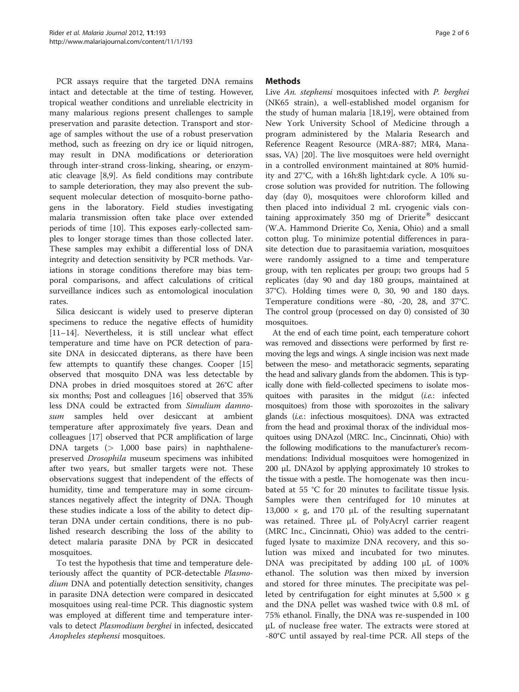PCR assays require that the targeted DNA remains intact and detectable at the time of testing. However, tropical weather conditions and unreliable electricity in many malarious regions present challenges to sample preservation and parasite detection. Transport and storage of samples without the use of a robust preservation method, such as freezing on dry ice or liquid nitrogen, may result in DNA modifications or deterioration through inter-strand cross-linking, shearing, or enzymatic cleavage [[8,9\]](#page-4-0). As field conditions may contribute to sample deterioration, they may also prevent the subsequent molecular detection of mosquito-borne pathogens in the laboratory. Field studies investigating malaria transmission often take place over extended periods of time [\[10\]](#page-4-0). This exposes early-collected samples to longer storage times than those collected later. These samples may exhibit a differential loss of DNA integrity and detection sensitivity by PCR methods. Variations in storage conditions therefore may bias temporal comparisons, and affect calculations of critical surveillance indices such as entomological inoculation rates.

Silica desiccant is widely used to preserve dipteran specimens to reduce the negative effects of humidity [[11](#page-4-0)–[14](#page-4-0)]. Nevertheless, it is still unclear what effect temperature and time have on PCR detection of parasite DNA in desiccated dipterans, as there have been few attempts to quantify these changes. Cooper [[15](#page-4-0)] observed that mosquito DNA was less detectable by DNA probes in dried mosquitoes stored at 26°C after six months; Post and colleagues [\[16\]](#page-4-0) observed that 35% less DNA could be extracted from Simulium damnosum samples held over desiccant at ambient temperature after approximately five years. Dean and colleagues [[17\]](#page-4-0) observed that PCR amplification of large DNA targets  $(> 1,000$  base pairs) in naphthalenepreserved Drosophila museum specimens was inhibited after two years, but smaller targets were not. These observations suggest that independent of the effects of humidity, time and temperature may in some circumstances negatively affect the integrity of DNA. Though these studies indicate a loss of the ability to detect dipteran DNA under certain conditions, there is no published research describing the loss of the ability to detect malaria parasite DNA by PCR in desiccated mosquitoes.

To test the hypothesis that time and temperature deleteriously affect the quantity of PCR-detectable Plasmodium DNA and potentially detection sensitivity, changes in parasite DNA detection were compared in desiccated mosquitoes using real-time PCR. This diagnostic system was employed at different time and temperature intervals to detect *Plasmodium berghei* in infected, desiccated Anopheles stephensi mosquitoes.

## Methods

Live An. stephensi mosquitoes infected with P. berghei (NK65 strain), a well-established model organism for the study of human malaria [[18,19](#page-4-0)], were obtained from New York University School of Medicine through a program administered by the Malaria Research and Reference Reagent Resource (MRA-887; MR4, Manassas, VA) [\[20\]](#page-4-0). The live mosquitoes were held overnight in a controlled environment maintained at 80% humidity and 27°C, with a 16h:8h light:dark cycle. A 10% sucrose solution was provided for nutrition. The following day (day 0), mosquitoes were chloroform killed and then placed into individual 2 mL cryogenic vials containing approximately 350 mg of Drierite<sup>®</sup> desiccant (W.A. Hammond Drierite Co, Xenia, Ohio) and a small cotton plug. To minimize potential differences in parasite detection due to parasitaemia variation, mosquitoes were randomly assigned to a time and temperature group, with ten replicates per group; two groups had 5 replicates (day 90 and day 180 groups, maintained at 37°C). Holding times were 0, 30, 90 and 180 days. Temperature conditions were -80, -20, 28, and 37°C. The control group (processed on day 0) consisted of 30 mosquitoes.

At the end of each time point, each temperature cohort was removed and dissections were performed by first removing the legs and wings. A single incision was next made between the meso- and metathoracic segments, separating the head and salivary glands from the abdomen. This is typically done with field-collected specimens to isolate mosquitoes with parasites in the midgut (i.e.: infected mosquitoes) from those with sporozoites in the salivary glands (i.e.: infectious mosquitoes). DNA was extracted from the head and proximal thorax of the individual mosquitoes using DNAzol (MRC. Inc., Cincinnati, Ohio) with the following modifications to the manufacturer's recommendations: Individual mosquitoes were homogenized in 200 μL DNAzol by applying approximately 10 strokes to the tissue with a pestle. The homogenate was then incubated at 55 °C for 20 minutes to facilitate tissue lysis. Samples were then centrifuged for 10 minutes at 13,000  $\times$  g, and 170 μL of the resulting supernatant was retained. Three μL of PolyAcryl carrier reagent (MRC Inc., Cincinnati, Ohio) was added to the centrifuged lysate to maximize DNA recovery, and this solution was mixed and incubated for two minutes. DNA was precipitated by adding 100 μL of 100% ethanol. The solution was then mixed by inversion and stored for three minutes. The precipitate was pelleted by centrifugation for eight minutes at  $5,500 \times g$ and the DNA pellet was washed twice with 0.8 mL of 75% ethanol. Finally, the DNA was re-suspended in 100 μL of nuclease free water. The extracts were stored at -80°C until assayed by real-time PCR. All steps of the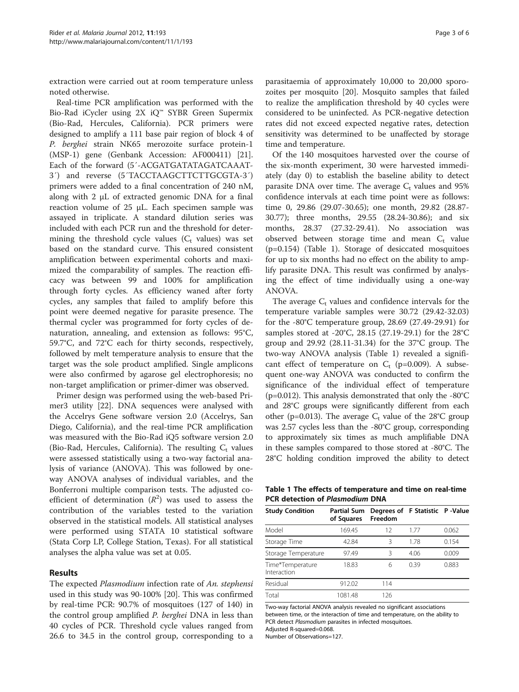<span id="page-2-0"></span>extraction were carried out at room temperature unless noted otherwise.

Real-time PCR amplification was performed with the Bio-Rad iCycler using 2X iQ™ SYBR Green Supermix (Bio-Rad, Hercules, California). PCR primers were designed to amplify a 111 base pair region of block 4 of P. berghei strain NK65 merozoite surface protein-1 (MSP-1) gene (Genbank Accession: AF000411) [\[21](#page-4-0)]. Each of the forward (5´-ACGATGATATAGATCAAAT-3´) and reverse (5´TACCTAAGCTTCTTGCGTA-3´) primers were added to a final concentration of 240 nM, along with 2 μL of extracted genomic DNA for a final reaction volume of 25 μL. Each specimen sample was assayed in triplicate. A standard dilution series was included with each PCR run and the threshold for determining the threshold cycle values  $(C_t$  values) was set based on the standard curve. This ensured consistent amplification between experimental cohorts and maximized the comparability of samples. The reaction efficacy was between 99 and 100% for amplification through forty cycles. As efficiency waned after forty cycles, any samples that failed to amplify before this point were deemed negative for parasite presence. The thermal cycler was programmed for forty cycles of denaturation, annealing, and extension as follows: 95°C, 59.7°C, and 72°C each for thirty seconds, respectively, followed by melt temperature analysis to ensure that the target was the sole product amplified. Single amplicons were also confirmed by agarose gel electrophoresis; no non-target amplification or primer-dimer was observed.

Primer design was performed using the web-based Primer3 utility [\[22\]](#page-4-0). DNA sequences were analysed with the Accelrys Gene software version 2.0 (Accelrys, San Diego, California), and the real-time PCR amplification was measured with the Bio-Rad iQ5 software version 2.0 (Bio-Rad, Hercules, California). The resulting  $C_t$  values were assessed statistically using a two-way factorial analysis of variance (ANOVA). This was followed by oneway ANOVA analyses of individual variables, and the Bonferroni multiple comparison tests. The adjusted coefficient of determination  $(R^2)$  was used to assess the contribution of the variables tested to the variation observed in the statistical models. All statistical analyses were performed using STATA 10 statistical software (Stata Corp LP, College Station, Texas). For all statistical analyses the alpha value was set at 0.05.

## Results

The expected Plasmodium infection rate of An. stephensi used in this study was 90-100% [\[20](#page-4-0)]. This was confirmed by real-time PCR: 90.7% of mosquitoes (127 of 140) in the control group amplified P. berghei DNA in less than 40 cycles of PCR. Threshold cycle values ranged from 26.6 to 34.5 in the control group, corresponding to a

parasitaemia of approximately 10,000 to 20,000 sporozoites per mosquito [\[20\]](#page-4-0). Mosquito samples that failed to realize the amplification threshold by 40 cycles were considered to be uninfected. As PCR-negative detection rates did not exceed expected negative rates, detection sensitivity was determined to be unaffected by storage time and temperature.

Of the 140 mosquitoes harvested over the course of the six-month experiment, 30 were harvested immediately (day 0) to establish the baseline ability to detect parasite DNA over time. The average  $C_t$  values and 95% confidence intervals at each time point were as follows: time 0, 29.86 (29.07-30.65); one month, 29.82 (28.87- 30.77); three months, 29.55 (28.24-30.86); and six months, 28.37 (27.32-29.41). No association was observed between storage time and mean  $C_t$  value (p=0.154) (Table 1). Storage of desiccated mosquitoes for up to six months had no effect on the ability to amplify parasite DNA. This result was confirmed by analysing the effect of time individually using a one-way ANOVA.

The average  $C_t$  values and confidence intervals for the temperature variable samples were 30.72 (29.42-32.03) for the -80°C temperature group, 28.69 (27.49-29.91) for samples stored at -20°C, 28.15 (27.19-29.1) for the 28°C group and 29.92 (28.11-31.34) for the 37°C group. The two-way ANOVA analysis (Table 1) revealed a significant effect of temperature on  $C_t$  (p=0.009). A subsequent one-way ANOVA was conducted to confirm the significance of the individual effect of temperature ( $p=0.012$ ). This analysis demonstrated that only the -80°C and 28°C groups were significantly different from each other (p=0.013). The average  $C_t$  value of the 28°C group was 2.57 cycles less than the -80°C group, corresponding to approximately six times as much amplifiable DNA in these samples compared to those stored at -80°C. The 28°C holding condition improved the ability to detect

Table 1 The effects of temperature and time on real-time PCR detection of Plasmodium DNA

| <b>Study Condition</b>          | <b>Partial Sum</b><br>of Squares | Degrees of F Statistic P-Value<br>Freedom |      |       |
|---------------------------------|----------------------------------|-------------------------------------------|------|-------|
| Model                           | 169.45                           | 12                                        | 177  | 0.062 |
| Storage Time                    | 42.84                            | Β                                         | 178  | 0.154 |
| Storage Temperature             | 97.49                            | Β                                         | 4.06 | 0.009 |
| Time*Temperature<br>Interaction | 18.83                            | 6                                         | 039  | 0.883 |
| Residual                        | 912.02                           | 114                                       |      |       |
| Total                           | 1081.48                          | 126                                       |      |       |

Two-way factorial ANOVA analysis revealed no significant associations between time, or the interaction of time and temperature, on the ability to PCR detect Plasmodium parasites in infected mosquitoes Adjusted R-squared=0.068.

Number of Observations=127.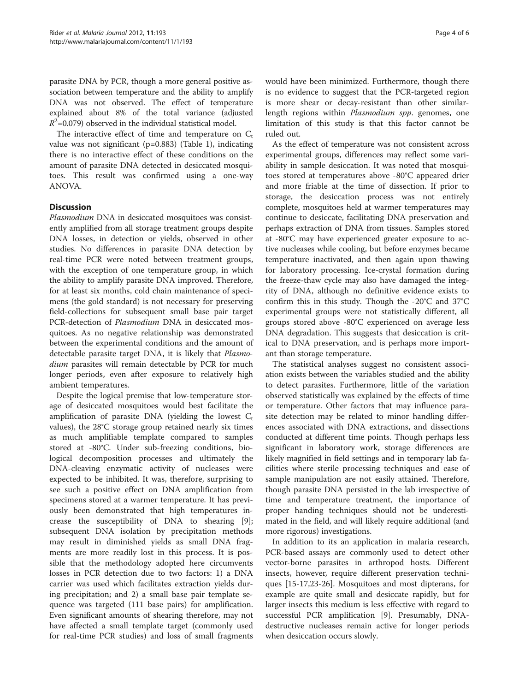parasite DNA by PCR, though a more general positive association between temperature and the ability to amplify DNA was not observed. The effect of temperature explained about 8% of the total variance (adjusted  $R^2$ =0.079) observed in the individual statistical model.

The interactive effect of time and temperature on  $C_t$ value was not significant (p=0.883) (Table [1\)](#page-2-0), indicating there is no interactive effect of these conditions on the amount of parasite DNA detected in desiccated mosquitoes. This result was confirmed using a one-way ANOVA.

## **Discussion**

Plasmodium DNA in desiccated mosquitoes was consistently amplified from all storage treatment groups despite DNA losses, in detection or yields, observed in other studies. No differences in parasite DNA detection by real-time PCR were noted between treatment groups, with the exception of one temperature group, in which the ability to amplify parasite DNA improved. Therefore, for at least six months, cold chain maintenance of specimens (the gold standard) is not necessary for preserving field-collections for subsequent small base pair target PCR-detection of Plasmodium DNA in desiccated mosquitoes. As no negative relationship was demonstrated between the experimental conditions and the amount of detectable parasite target DNA, it is likely that Plasmodium parasites will remain detectable by PCR for much longer periods, even after exposure to relatively high ambient temperatures.

Despite the logical premise that low-temperature storage of desiccated mosquitoes would best facilitate the amplification of parasite DNA (yielding the lowest  $C_t$ values), the 28°C storage group retained nearly six times as much amplifiable template compared to samples stored at -80°C. Under sub-freezing conditions, biological decomposition processes and ultimately the DNA-cleaving enzymatic activity of nucleases were expected to be inhibited. It was, therefore, surprising to see such a positive effect on DNA amplification from specimens stored at a warmer temperature. It has previously been demonstrated that high temperatures increase the susceptibility of DNA to shearing [\[9](#page-4-0)]; subsequent DNA isolation by precipitation methods may result in diminished yields as small DNA fragments are more readily lost in this process. It is possible that the methodology adopted here circumvents losses in PCR detection due to two factors: 1) a DNA carrier was used which facilitates extraction yields during precipitation; and 2) a small base pair template sequence was targeted (111 base pairs) for amplification. Even significant amounts of shearing therefore, may not have affected a small template target (commonly used for real-time PCR studies) and loss of small fragments

would have been minimized. Furthermore, though there is no evidence to suggest that the PCR-targeted region is more shear or decay-resistant than other similarlength regions within *Plasmodium spp*. genomes, one limitation of this study is that this factor cannot be ruled out.

As the effect of temperature was not consistent across experimental groups, differences may reflect some variability in sample desiccation. It was noted that mosquitoes stored at temperatures above -80°C appeared drier and more friable at the time of dissection. If prior to storage, the desiccation process was not entirely complete, mosquitoes held at warmer temperatures may continue to desiccate, facilitating DNA preservation and perhaps extraction of DNA from tissues. Samples stored at -80°C may have experienced greater exposure to active nucleases while cooling, but before enzymes became temperature inactivated, and then again upon thawing for laboratory processing. Ice-crystal formation during the freeze-thaw cycle may also have damaged the integrity of DNA, although no definitive evidence exists to confirm this in this study. Though the -20°C and 37°C experimental groups were not statistically different, all groups stored above -80°C experienced on average less DNA degradation. This suggests that desiccation is critical to DNA preservation, and is perhaps more important than storage temperature.

The statistical analyses suggest no consistent association exists between the variables studied and the ability to detect parasites. Furthermore, little of the variation observed statistically was explained by the effects of time or temperature. Other factors that may influence parasite detection may be related to minor handling differences associated with DNA extractions, and dissections conducted at different time points. Though perhaps less significant in laboratory work, storage differences are likely magnified in field settings and in temporary lab facilities where sterile processing techniques and ease of sample manipulation are not easily attained. Therefore, though parasite DNA persisted in the lab irrespective of time and temperature treatment, the importance of proper handing techniques should not be underestimated in the field, and will likely require additional (and more rigorous) investigations.

In addition to its an application in malaria research, PCR-based assays are commonly used to detect other vector-borne parasites in arthropod hosts. Different insects, however, require different preservation techniques [[15](#page-4-0)-[17,](#page-4-0)[23-26](#page-5-0)]. Mosquitoes and most dipterans, for example are quite small and desiccate rapidly, but for larger insects this medium is less effective with regard to successful PCR amplification [\[9](#page-4-0)]. Presumably, DNAdestructive nucleases remain active for longer periods when desiccation occurs slowly.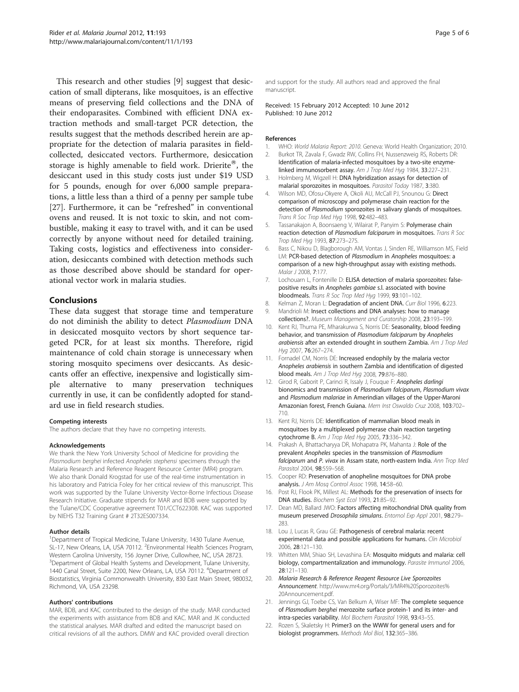<span id="page-4-0"></span>This research and other studies [9] suggest that desiccation of small dipterans, like mosquitoes, is an effective means of preserving field collections and the DNA of their endoparasites. Combined with efficient DNA extraction methods and small-target PCR detection, the results suggest that the methods described herein are appropriate for the detection of malaria parasites in fieldcollected, desiccated vectors. Furthermore, desiccation storage is highly amenable to field work. Drierite®, the desiccant used in this study costs just under \$19 USD for 5 pounds, enough for over 6,000 sample preparations, a little less than a third of a penny per sample tube [[27\]](#page-5-0). Furthermore, it can be "refreshed" in conventional ovens and reused. It is not toxic to skin, and not combustible, making it easy to travel with, and it can be used correctly by anyone without need for detailed training. Taking costs, logistics and effectiveness into consideration, desiccants combined with detection methods such as those described above should be standard for operational vector work in malaria studies.

## Conclusions

These data suggest that storage time and temperature do not diminish the ability to detect Plasmodium DNA in desiccated mosquito vectors by short sequence targeted PCR, for at least six months. Therefore, rigid maintenance of cold chain storage is unnecessary when storing mosquito specimens over desiccants. As desiccants offer an effective, inexpensive and logistically simple alternative to many preservation techniques currently in use, it can be confidently adopted for standard use in field research studies.

#### Competing interests

The authors declare that they have no competing interests.

#### Acknowledgements

We thank the New York University School of Medicine for providing the Plasmodium berghei infected Anopheles stephensi specimens through the Malaria Research and Reference Reagent Resource Center (MR4) program. We also thank Donald Krogstad for use of the real-time instrumentation in his laboratory and Patricia Foley for her critical review of this manuscript. This work was supported by the Tulane University Vector-Borne Infectious Disease Research Initiative. Graduate stipends for MAR and BDB were supported by the Tulane/CDC Cooperative agreement T01/CCT622308. KAC was supported by NIEHS T32 Training Grant # 2T32ES007334.

#### Author details

<sup>1</sup>Department of Tropical Medicine, Tulane University, 1430 Tulane Avenue, SL-17, New Orleans, LA, USA 70112. <sup>2</sup>Environmental Health Sciences Program, Western Carolina University, 156 Joyner Drive, Cullowhee, NC, USA 28723. <sup>3</sup>Department of Global Health Systems and Development, Tulane University, 1440 Canal Street, Suite 2200, New Orleans, LA, USA 70112. <sup>4</sup>Department of Biostatistics, Virginia Commonwealth University, 830 East Main Street, 980032, Richmond, VA, USA 23298.

#### Authors' contributions

MAR, BDB, and KAC contributed to the design of the study. MAR conducted the experiments with assistance from BDB and KAC. MAR and JK conducted the statistical analyses. MAR drafted and edited the manuscript based on critical revisions of all the authors. DMW and KAC provided overall direction

and support for the study. All authors read and approved the final manuscript.

Received: 15 February 2012 Accepted: 10 June 2012 Published: 10 June 2012

#### References

- 1. WHO: World Malaria Report: 2010. Geneva: World Health Organization; 2010. 2. Burkot TR, Zavala F, Gwadz RW, Collins FH, Nussenzweig RS, Roberts DR:
- Identification of malaria-infected mosquitoes by a two-site enzymelinked immunosorbent assay. Am J Trop Med Hyg 1984, 33:227–231.
- 3. Holmberg M, Wigzell H: DNA hybridization assays for detection of malarial sporozoites in mosquitoes. Parasitol Today 1987, 3:380.
- 4. Wilson MD, Ofosu-Okyere A, Okoli AU, McCall PJ, Snounou G: Direct comparison of microscopy and polymerase chain reaction for the detection of Plasmodium sporozoites in salivary glands of mosquitoes. Trans R Soc Trop Med Hyg 1998, 92:482-483.
- 5. Tassanakajon A, Boonsaeng V, Wilairat P, Panyim S: Polymerase chain reaction detection of Plasmodium falciparum in mosquitoes. Trans R Soc Trop Med Hyg 1993, 87:273–275.
- 6. Bass C, Nikou D, Blagborough AM, Vontas J, Sinden RE, Williamson MS, Field LM: PCR-based detection of Plasmodium in Anopheles mosquitoes: a comparison of a new high-throughput assay with existing methods. Malar J 2008, 7:177.
- 7. Lochouarn L, Fontenille D: ELISA detection of malaria sporozoites: falsepositive results in Anopheles gambiae s.l. associated with bovine bloodmeals. Trans R Soc Trop Med Hyg 1999, 93:101–102.
- 8. Kelman Z, Moran L: Degradation of ancient DNA. Curr Biol 1996, 6:223.
- 9. Mandrioli M: Insect collections and DNA analyses: how to manage collections?. Museum Management and Curatorship 2008, 23:193–199.
- 10. Kent RJ, Thuma PE, Mharakurwa S, Norris DE: Seasonality, blood feeding behavior, and transmission of Plasmodium falciparum by Anopheles arabiensis after an extended drought in southern Zambia. Am J Trop Med Hyg 2007, 76:267–274.
- 11. Fornadel CM, Norris DE: Increased endophily by the malaria vector Anopheles arabiensis in southern Zambia and identification of digested blood meals. Am J Trop Med Hyg 2008, 79:876–880.
- 12. Girod R, Gaborit P, Carinci R, Issaly J, Fouque F: Anopheles darlingi bionomics and transmission of Plasmodium falciparum, Plasmodium vivax and Plasmodium malariae in Amerindian villages of the Upper-Maroni Amazonian forest, French Guiana. Mem Inst Oswaldo Cruz 2008, 103:702– 710.
- 13. Kent RJ, Norris DE: Identification of mammalian blood meals in mosquitoes by a multiplexed polymerase chain reaction targeting cytochrome B. Am J Trop Med Hyg 2005, 73:336–342.
- 14. Prakash A, Bhattacharyya DR, Mohapatra PK, Mahanta J: Role of the prevalent Anopheles species in the transmission of Plasmodium falciparum and P. vivax in Assam state, north-eastern India. Ann Trop Med Parasitol 2004, 98:559–568.
- 15. Cooper RD: Preservation of anopheline mosquitoes for DNA probe analysis. J Am Mosa Control Assoc 1998, 14:58-60.
- 16. Post RJ, Flook PK, Millest AL: Methods for the preservation of insects for DNA studies. Biochem Syst Ecol 1993, 21:85–92.
- 17. Dean MD, Ballard JWO: Factors affecting mitochondrial DNA quality from museum preserved Drosophila simulans. Entomol Exp Appl 2001, 98:279– 283.
- 18. Lou J, Lucas R, Grau GE: Pathogenesis of cerebral malaria: recent experimental data and possible applications for humans. Clin Microbiol 2006, 28:121–130.
- 19. Whitten MM, Shiao SH, Levashina EA: Mosquito midguts and malaria: cell biology, compartmentalization and immunology. Parasite Immunol 2006, 28:121–130.
- 20. Malaria Research & Reference Reagent Resource Live Sporozoites Announcement. [http://www.mr4.org/Portals/3/MR4%20Sporozoites%](http://www.mr4.org/Portals/3/MR4%20Sporozoites%20Announcement.pdf) [20Announcement.pdf.](http://www.mr4.org/Portals/3/MR4%20Sporozoites%20Announcement.pdf)
- 21. Jennings GJ, Toebe CS, Van Belkum A, Wiser MF: The complete sequence of Plasmodium berghei merozoite surface protein-1 and its inter- and intra-species variability. Mol Biochem Parasitol 1998, 93:43–55.
- 22. Rozen S, Skaletsky H: Primer3 on the WWW for general users and for biologist programmers. Methods Mol Biol, 132:365–386.